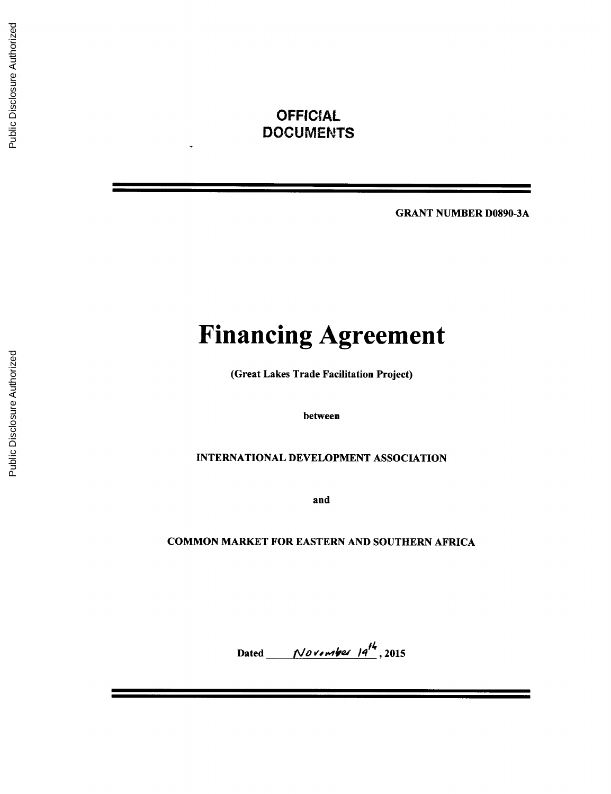## **OFFICIAL** DOCUMENTS

GRANT **NUMBER D0890-3A**

# **Financing Agreement**

(Great Lakes Trade Facilitation Project)

between

## **INTERNATIONAL DEVELOPMENT ASSOCIATION**

and

## **COMMON** MARKET FOR **EASTERN AND SOUTHERN** AFRICA

Dated *November*  $14^{H_1}$ , 2015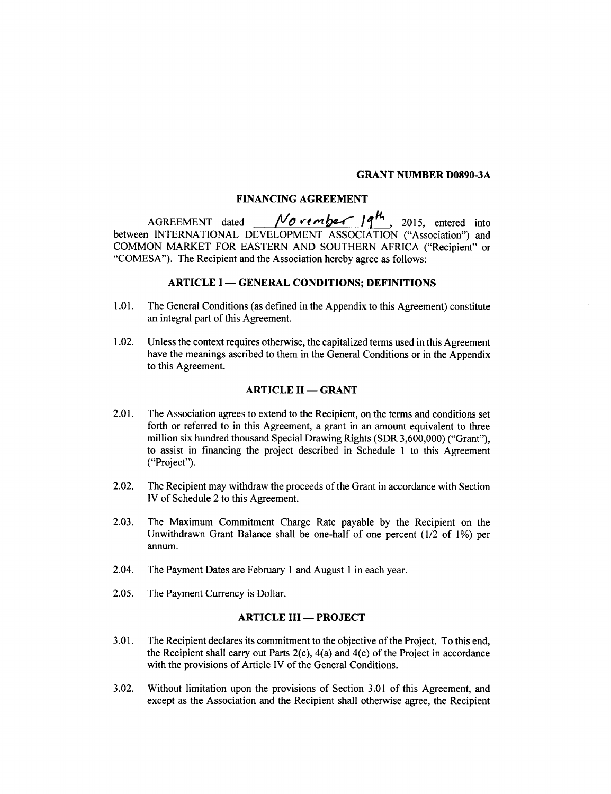#### **GRANT NUMBER D0890-3A**

## **FINANCING AGREEMENT**

AGREEMENT dated <u>November 19<sup>14</sup></u>, 2015, entered into between **INTERNATIONAL DEVELOPMENT ASSOCIATION** ("Association") and **COMMON** MARKET FOR **EASTERN AND SOUTHERN** AFRICA ("Recipient" or **"COMESA").** The Recipient and the Association hereby agree as follows:

## **ARTICLE I - GENERAL CONDITIONS; DEFINITIONS**

- **1.01.** The General Conditions (as defined in the Appendix to this Agreement) constitute an integral part of this Agreement.
- 1.02. Unless the context requires otherwise, the capitalized terms used in this Agreement have the meanings ascribed to them in the General Conditions or in the Appendix to this Agreement.

## **ARTICLE II - GRANT**

- 2.01. The Association agrees to extend to the Recipient, on the terms and conditions set forth or referred to in this Agreement, a grant in an amount equivalent to three million six hundred thousand Special Drawing Rights (SDR **3,600,000)** ("Grant"), to assist in financing the project described in Schedule **I** to this Agreement ("Project").
- 2.02. The Recipient may withdraw the proceeds of the Grant in accordance with Section IV of Schedule 2 to this Agreement.
- **2.03.** The Maximum Commitment Charge Rate payable **by** the Recipient on the Unwithdrawn Grant Balance shall be one-half of one percent (1/2 of **1%)** per annum.
- 2.04. The Payment Dates are February **I** and August **I** in each year.
- **2.05.** The Payment Currency is Dollar.

## **ARTICLE III - PROJECT**

- **3.01.** The Recipient declares its commitment to the objective of the Project. To this end, the Recipient shall carry out Parts 2(c), 4(a) and 4(c) of the Project in accordance with the provisions of Article IV of the General Conditions.
- **3.02.** Without limitation upon the provisions of Section **3.01** of this Agreement, and except as the Association and the Recipient shall otherwise agree, the Recipient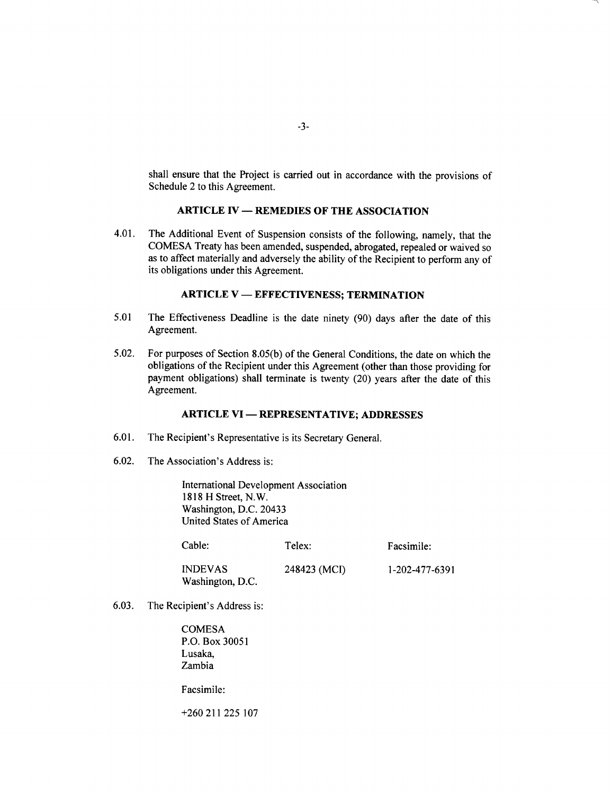shall ensure that the Project is carried out in accordance with the provisions of Schedule 2 to this Agreement.

## **ARTICLE IV - REMEDIES OF THE ASSOCIATION**

4.01. The Additional Event of Suspension consists of the following, namely, that the **COMESA** Treaty has been amended, suspended, abrogated, repealed or waived so as to affect materially and adversely the ability of the Recipient to perform any of its obligations under this Agreement.

## **ARTICLE V - EFFECTIVENESS; TERMINATION**

- *5.01* The Effectiveness Deadline is the date ninety **(90)** days after the date of this Agreement.
- *5.02.* For purposes of Section **8.05(b)** of the General Conditions, the date on which the obligations of the Recipient under this Agreement (other than those providing for payment obligations) shall terminate is twenty (20) years after the date of this Agreement.

## **ARTICLE VI - REPRESENTATIVE; ADDRESSES**

- **6.01.** The Recipient's Representative is its Secretary General.
- **6.02.** The Association's Address is:

International Development Association **1818** H Street, N.W. Washington, **D.C.** 20433 United States of America

| Cable:                             | Telex:       | Facsimile:     |
|------------------------------------|--------------|----------------|
| <b>INDEVAS</b><br>Washington, D.C. | 248423 (MCI) | 1-202-477-6391 |

**6.03.** The Recipient's Address is:

**COMESA** P.O. Box **30051** Lusaka, Zambia

Facsimile:

**+260** 211 **225 107**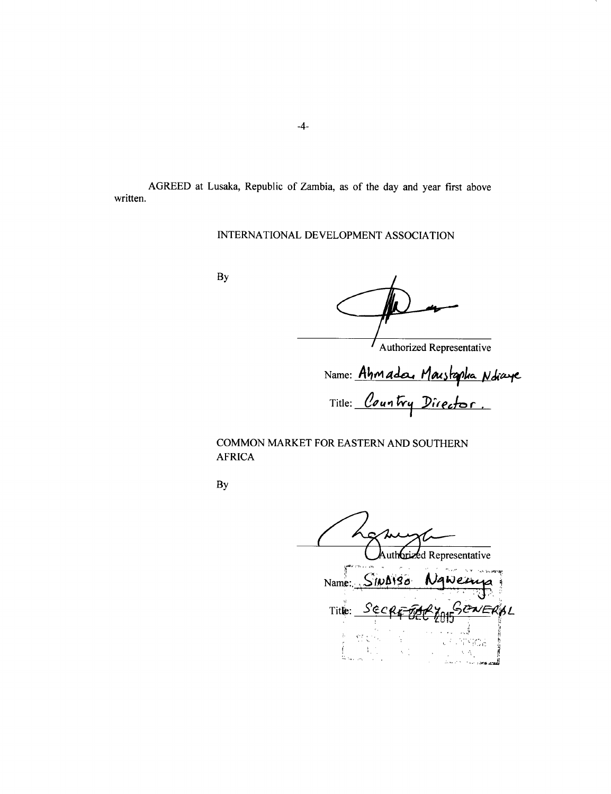AGREED at Lusaka, Republic of Zambia, as of the day and year first above written.

## **INTERNATIONAL DEVELOPMENT ASSOCIATION**

**By**

 $\prime$ 

Authorized Representative

Name: *Ahmada, Marshapha Ndiay* Title: *Country Director*.

## **COMMON** MARKET FOR **EASTERN AND SOUTHERN** AFRICA

**By**

brized Representative  $Name. \simeq$  $S100198$ Ngwein Title: SECRE FARY ANSCHERAL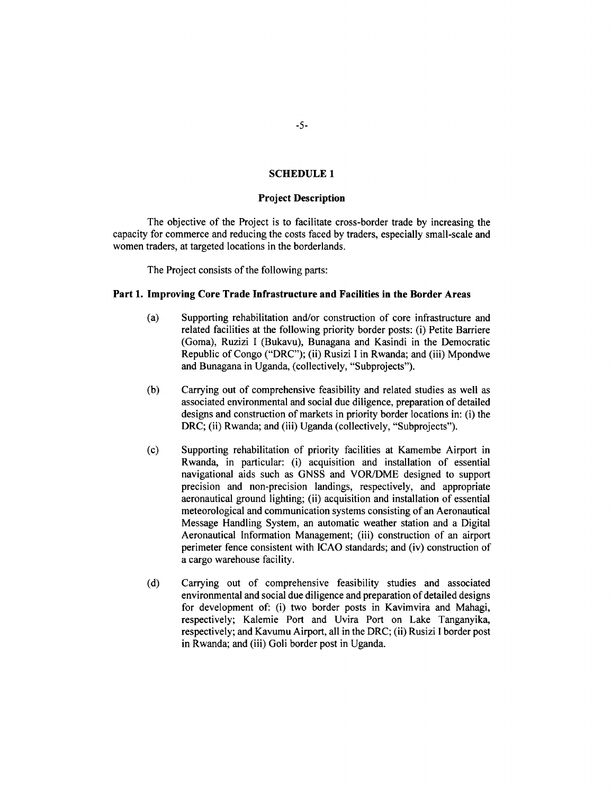## **SCHEDULE 1**

#### **Project Description**

The objective of the Project is to facilitate cross-border trade **by** increasing the capacity for commerce and reducing the costs faced **by** traders, especially small-scale and women traders, at targeted locations in the borderlands.

The Project consists of the following parts:

#### **Part 1. Improving Core Trade Infrastructure and Facilities in the Border Areas**

- (a) Supporting rehabilitation and/or construction of core infrastructure and related facilities at the following priority border posts: (i) Petite Barriere (Goma), Ruzizi **I** (Bukavu), Bunagana and Kasindi in the Democratic Republic of Congo ("DRC"); (ii) Rusizi I in Rwanda; and (iii) Mpondwe and Bunagana in Uganda, (collectively, "Subprojects").
- **(b)** Carrying out of comprehensive feasibility and related studies as well as associated environmental and social due diligence, preparation of detailed designs and construction of markets in priority border locations in: (i) the DRC; (ii) Rwanda; and (iii) Uganda (collectively, "Subprojects").
- **(c)** Supporting rehabilitation of priority facilities at Kamembe Airport in Rwanda, in particular: (i) acquisition and installation of essential navigational aids such as **GNSS** and VOR/DME designed to support precision and non-precision landings, respectively, and appropriate aeronautical ground lighting; (ii) acquisition and installation of essential meteorological and communication systems consisting of an Aeronautical Message Handling System, an automatic weather station and a Digital Aeronautical Information Management; (iii) construction of an airport perimeter fence consistent with **ICAO** standards; and (iv) construction of a cargo warehouse facility.
- **(d)** Carrying out of comprehensive feasibility studies and associated environmental and social due diligence and preparation of detailed designs for development of: (i) two border posts in Kavimvira and Mahagi, respectively; Kalemie Port and Uvira Port on Lake Tanganyika, respectively; and Kavumu Airport, all in the DRC; (ii) Rusizi **I** border post in Rwanda; and (iii) Goli border post in Uganda.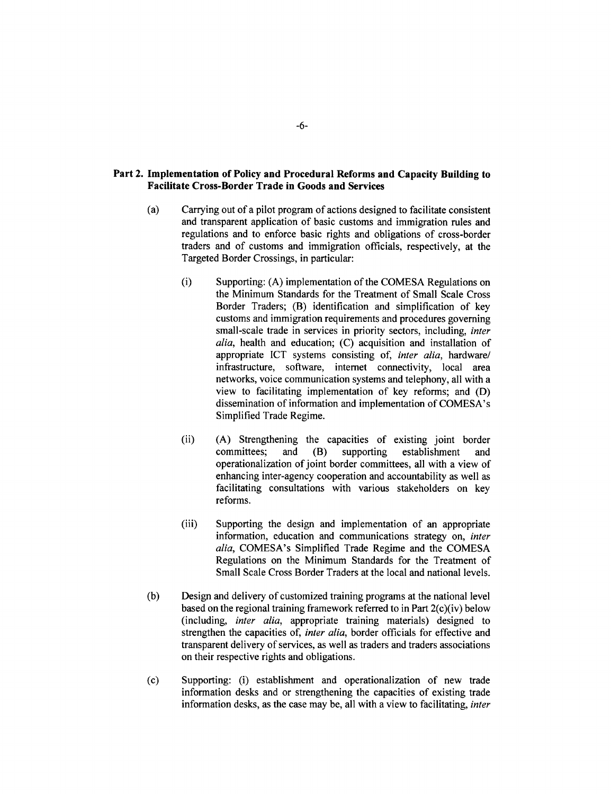## **Part 2. Implementation of Policy and Procedural Reforms and Capacity Building to Facilitate Cross-Border Trade in Goods and Services**

- (a) Carrying out of a pilot program of actions designed to facilitate consistent and transparent application of basic customs and immigration rules and regulations and to enforce basic rights and obligations of cross-border traders and of customs and immigration officials, respectively, at the Targeted Border Crossings, in particular:
	- (i) Supporting: **(A)** implementation of the **COMESA** Regulations on the Minimum Standards for the Treatment of Small Scale Cross Border Traders; (B) identification and simplification of key customs and immigration requirements and procedures governing small-scale trade in services in priority sectors, including, *inter alia,* health and education; **(C)** acquisition and installation of appropriate ICT systems consisting of, *inter alia,* hardware/ infrastructure, software, internet connectivity, local area networks, voice communication systems and telephony, all with a view to facilitating implementation of key reforms; and **(D)** dissemination of information and implementation of COMESA's Simplified Trade Regime.
	- (ii) **(A)** Strengthening the capacities of existing joint border committees; and (B) supporting establishment and operationalization of joint border committees, all with a view of enhancing inter-agency cooperation and accountability as well as facilitating consultations with various stakeholders on key reforms.
	- (iii) Supporting the design and implementation of an appropriate information, education and communications strategy on, *inter alia,* COMESA's Simplified Trade Regime and the **COMESA** Regulations on the Minimum Standards for the Treatment of Small Scale Cross Border Traders at the local and national levels.
- **(b)** Design and delivery of customized training programs at the national level based on the regional training framework referred to in Part 2(c)(iv) below (including, *inter alia,* appropriate training materials) designed to strengthen the capacities of, *inter alia,* border officials for effective and transparent delivery of services, as well as traders and traders associations on their respective rights and obligations.
- **(c)** Supporting: (i) establishment and operationalization of new trade information desks and or strengthening the capacities of existing trade information desks, as the case may be, all with a view to facilitating, *inter*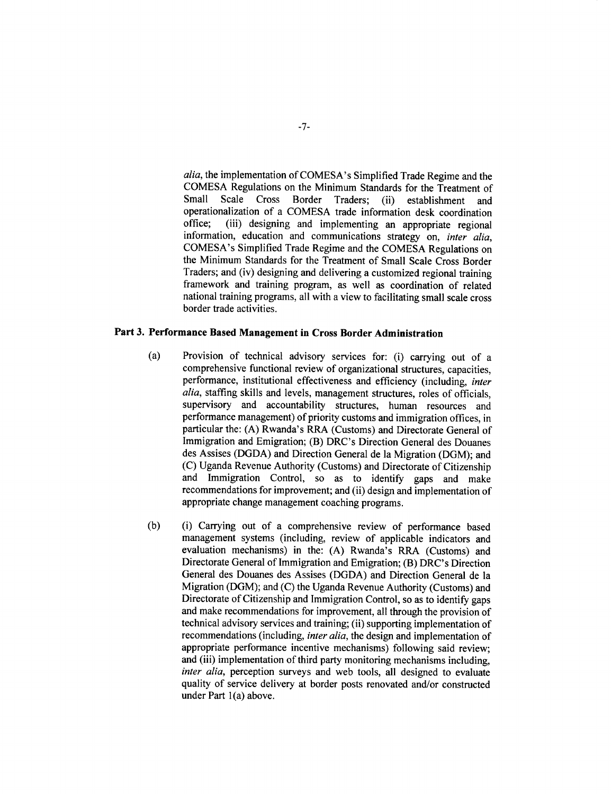*alia,* the implementation of COMESA's Simplified Trade Regime and the **COMESA** Regulations on the Minimum Standards for the Treatment of Scale Cross Border Traders; (ii) establishment and operationalization of a **COMESA** trade information desk coordination (iii) designing and implementing an appropriate regional information, education and communications strategy on, *inter alia,* COMESA's Simplified Trade Regime and the **COMESA** Regulations on the Minimum Standards for the Treatment of Small Scale Cross Border Traders; and (iv) designing and delivering a customized regional training framework and training program, as well as coordination of related national training programs, all with a view to facilitating small scale cross border trade activities.

## **Part 3. Performance Based Management in Cross Border Administration**

- **(a) Provision of technical advisory services for:** (i) carrying out of a comprehensive functional review of organizational structures, capacities, performance, institutional effectiveness and efficiency (including, *inter alia,* staffing skills and levels, management structures, roles of officials, supervisory and accountability structures, human resources and performance management) of priority customs and immigration offices, in particular the: **(A)** Rwanda's RRA (Customs) and Directorate General of Immigration and Emigration; (B) DRC's Direction General des Douanes des Assises **(DGDA)** and Direction General de la Migration **(DGM);** and **(C)** Uganda Revenue Authority (Customs) and Directorate of Citizenship and Immigration Control, so as to identify gaps and make recommendations for improvement; and (ii) design and implementation of appropriate change management coaching programs.
- **(b)** (i) Carrying out of a comprehensive review of performance based management systems (including, review of applicable indicators and evaluation mechanisms) in the: **(A)** Rwanda's RRA (Customs) and Directorate General of Immigration and Emigration; (B) DRC's Direction General des Douanes des Assises **(DGDA)** and Direction General de la Migration **(DGM);** and **(C)** the Uganda Revenue Authority (Customs) and Directorate of Citizenship and Immigration Control, so as to identify gaps and make recommendations for improvement, all through the provision of technical advisory services and training; (ii) supporting implementation of recommendations (including, *inter alia,* the design and implementation of appropriate performance incentive mechanisms) following said review; and (iii) implementation of third party monitoring mechanisms including, *inter alia,* perception surveys and web tools, all designed to evaluate quality of service delivery at border posts renovated and/or constructed under Part 1(a) above.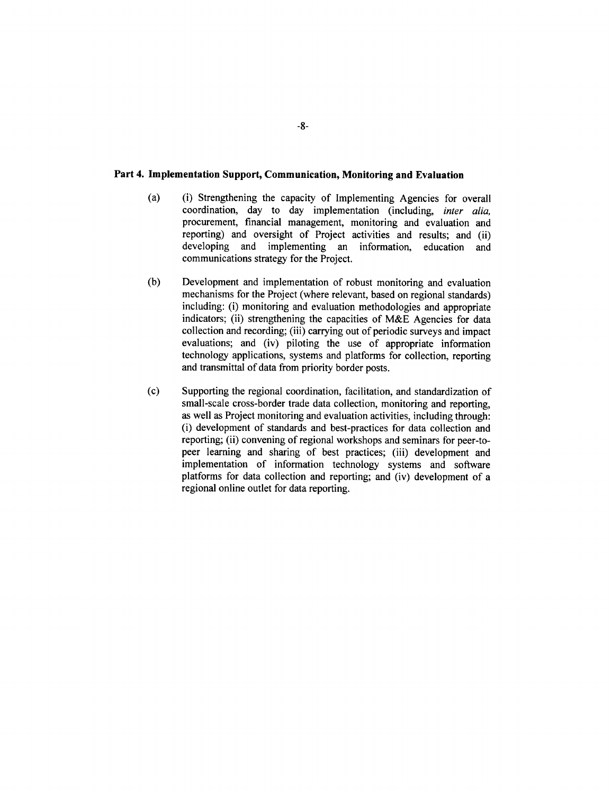#### **Part 4. Implementation Support, Communication, Monitoring and Evaluation**

- (a) (i) Strengthening the capacity of Implementing Agencies for overall coordination, day to day implementation (including, *inter alia,* procurement, financial management, monitoring and evaluation and reporting) and oversight of Project activities and results; and (ii) developing and implementing an information, education and communications strategy for the Project.
- **(b)** Development and implementation of robust monitoring and evaluation mechanisms for the Project (where relevant, based on regional standards) including: (i) monitoring and evaluation methodologies and appropriate indicators; (ii) strengthening the capacities of M&E Agencies for data collection and recording; (iii) carrying out of periodic surveys and impact evaluations; and (iv) piloting the use of appropriate information technology applications, systems and platforms for collection, reporting and transmittal of data from priority border posts.
- **(c)** Supporting the regional coordination, facilitation, and standardization of small-scale cross-border trade data collection, monitoring and reporting, as well as Project monitoring and evaluation activities, including through: (i) development of standards and best-practices for data collection and reporting; (ii) convening of regional workshops and seminars for peer-topeer learning and sharing of best practices; (iii) development and implementation of information technology systems and software platforms for data collection and reporting; and (iv) development of a regional online outlet for data reporting.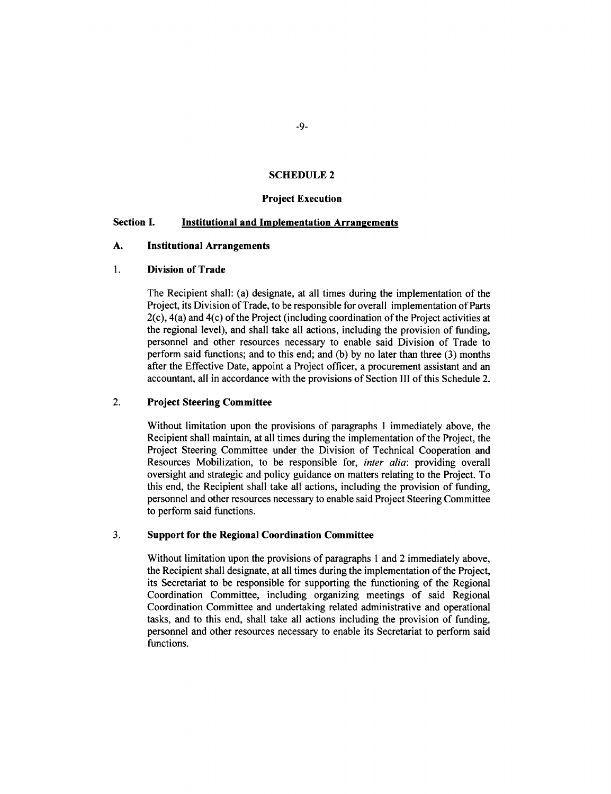#### **SCHEDULE 2**

#### **Project Execution**

## **Section I. Institutional and Implementation Arrangements**

#### **A. Institutional Arrangements**

## 1. **Division of Trade**

The Recipient shall: (a) designate, at all times during the implementation of the Project, its Division of Trade, to be responsible for overall implementation of Parts 2(c), 4(a) and 4(c) of the Project (including coordination of the Project activities at the regional level), and shall take all actions, including the provision of funding, personnel and other resources necessary to enable said Division of Trade to perform said functions; and to this end; and **(b) by** no later than three **(3)** months after the Effective Date, appoint a Project officer, a procurement assistant and an accountant, all in accordance with the provisions of Section **III** of this Schedule 2.

## 2. **Project Steering Committee**

Without limitation upon the provisions of paragraphs **I** immediately above, the Recipient shall maintain, at all times during the implementation of the Project, the Project Steering Committee under the Division of Technical Cooperation and Resources Mobilization, to be responsible for, *inter alia:* providing overall oversight and strategic and policy guidance on matters relating to the Project. To this end, the Recipient shall take all actions, including the provision of funding, personnel and other resources necessary to enable said Project Steering Committee to perform said functions.

## **3. Support for the Regional Coordination Committee**

Without limitation upon the provisions of paragraphs **I** and 2 immediately above, the Recipient shall designate, at all times during the implementation of the Project, its Secretariat to be responsible for supporting the functioning of the Regional Coordination Committee, including organizing meetings of said Regional Coordination Committee and undertaking related administrative and operational tasks, and to this end, shall take all actions including the provision of funding, personnel and other resources necessary to enable its Secretariat to perform said functions.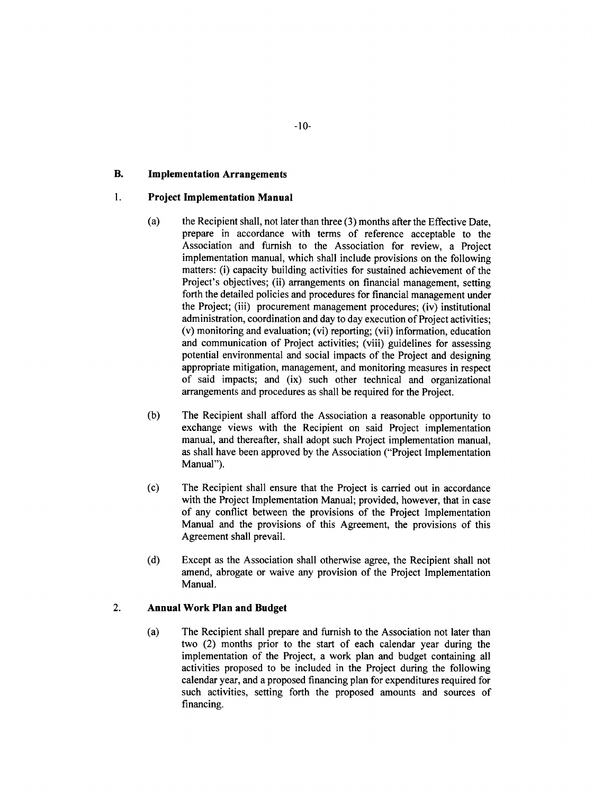## **B. Implementation Arrangements**

#### 1. **Project Implementation Manual**

- (a) the Recipient shall, not later than three **(3)** months after the Effective Date, prepare in accordance with terms of reference acceptable to the Association and furnish to the Association for review, a Project implementation manual, which shall include provisions on the following matters: (i) capacity building activities for sustained achievement of the Project's objectives; (ii) arrangements on financial management, setting forth the detailed policies and procedures for financial management under the Project; (iii) procurement management procedures; (iv) institutional administration, coordination and day to day execution of Project activities; (v) monitoring and evaluation; (vi) reporting; (vii) information, education and communication of Project activities; (viii) guidelines for assessing potential environmental and social impacts of the Project and designing appropriate mitigation, management, and monitoring measures in respect of said impacts; and (ix) such other technical and organizational arrangements and procedures as shall be required for the Project.
- **(b)** The Recipient shall afford the Association a reasonable opportunity to exchange views with the Recipient on said Project implementation manual, and thereafter, shall adopt such Project implementation manual, as shall have been approved **by** the Association ("Project Implementation Manual").
- **(c)** The Recipient shall ensure that the Project is carried out in accordance with the Project Implementation Manual; provided, however, that in case of any conflict between the provisions of the Project Implementation Manual and the provisions of this Agreement, the provisions of this Agreement shall prevail.
- **(d)** Except as the Association shall otherwise agree, the Recipient shall not amend, abrogate or waive any provision of the Project Implementation Manual.

#### 2. **Annual Work Plan and Budget**

(a) The Recipient shall prepare and furnish to the Association not later than two (2) months prior to the start of each calendar year during the implementation of the Project, a work plan and budget containing all activities proposed to be included in the Project during the following calendar year, and a proposed financing plan for expenditures required for such activities, setting forth the proposed amounts and sources of financing.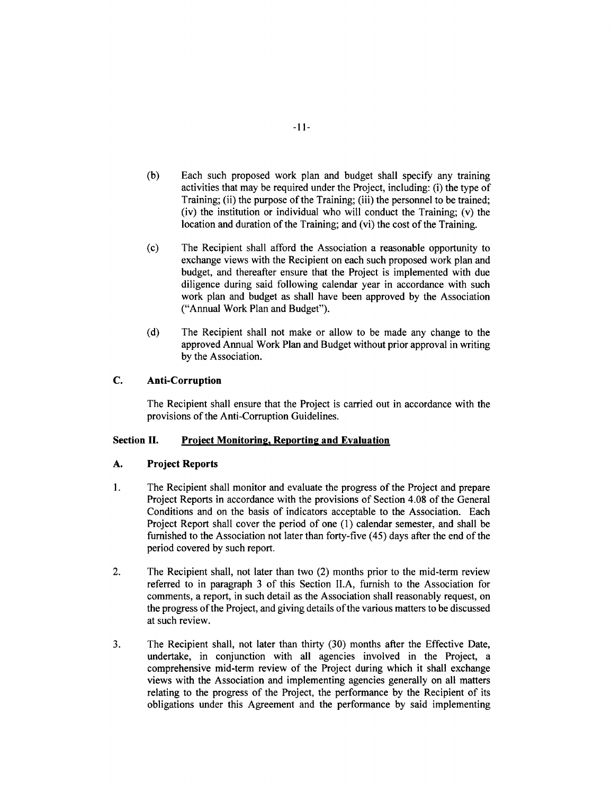- **(b)** Each such proposed work plan and budget shall specify any training activities that may be required under the Project, including: (i) the type of Training; (ii) the purpose of the Training; (iii) the personnel to be trained; (iv) the institution or individual who will conduct the Training; (v) the location and duration of the Training; and (vi) the cost of the Training.
- (c) The Recipient shall afford the Association a reasonable opportunity to exchange views with the Recipient on each such proposed work plan and budget, and thereafter ensure that the Project is implemented with due diligence during said following calendar year in accordance with such work plan and budget as shall have been approved **by** the Association ("Annual Work Plan and Budget").
- **(d)** The Recipient shall not make or allow to be made any change to the approved Annual Work Plan and Budget without prior approval in writing **by** the Association.

## **C. Anti-Corruption**

The Recipient shall ensure that the Project is carried out in accordance with the provisions of the Anti-Corruption Guidelines.

## **Section II. Project Monitoring, Reporting and Evaluation**

#### **A. Project Reports**

- 1 **.** The Recipient shall monitor and evaluate the progress of the Project and prepare Project Reports in accordance with the provisions of Section 4.08 **of** the General Conditions and on the basis of indicators acceptable to the Association. Each Project Report shall cover the period of one **(1)** calendar semester, and shall be furnished to the Association not later than forty-five (45) days after the end of the period covered **by** such report.
- 2. The Recipient shall, not later than two (2) months prior to the mid-term review referred to in paragraph **3** of this Section **II.A,** furnish to the Association for comments, a report, in such detail as the Association shall reasonably request, on the progress of the Project, and giving details of the various matters to be discussed at such review.
- **3.** The Recipient shall, not later than thirty **(30)** months after the Effective Date, undertake, in conjunction with all agencies involved in the Project, a comprehensive mid-term review of the Project during which it shall exchange views with the Association and implementing agencies generally on all matters relating to the progress of the Project, the performance **by** the Recipient of its obligations under this Agreement and the performance **by** said implementing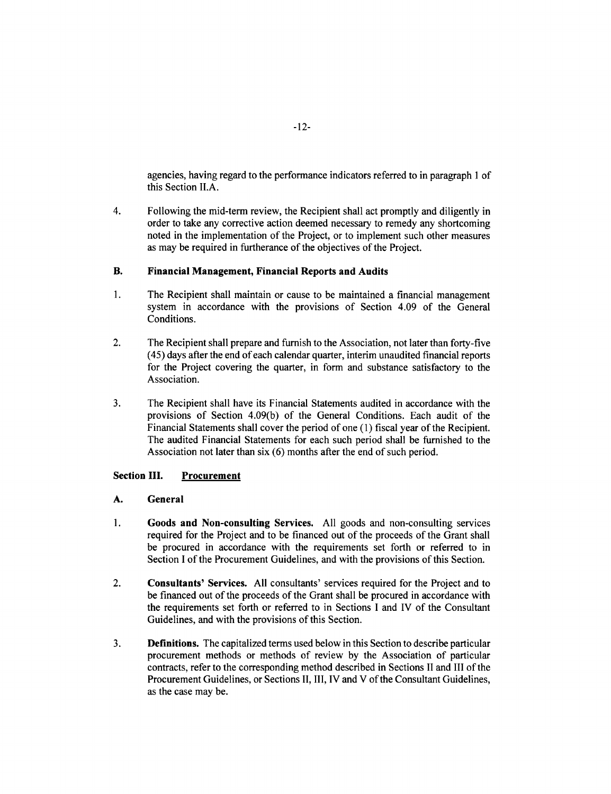agencies, having regard to the performance indicators referred to in paragraph **I** of this Section **II.A.**

4. Following the mid-term review, the Recipient shall act promptly and diligently in order to take any corrective action deemed necessary to remedy any shortcoming noted in the implementation of the Project, or to implement such other measures as may be required in furtherance of the objectives of the Project.

## **B. Financial Management, Financial Reports and Audits**

- **1. The** Recipient shall maintain or cause to be maintained a financial management system in accordance with **the provisions** of Section 4.09 **of** the General Conditions.
- 2. The Recipient shall prepare and furnish to the Association, not later than forty-five (45) days after the end of each calendar quarter, interim unaudited financial reports for the Project covering the quarter, in form and substance satisfactory to the Association.
- **3.** The Recipient shall have its Financial Statements audited in accordance with the provisions of Section 4.09(b) of the General Conditions. Each audit of the Financial Statements shall cover the period of one **(1)** fiscal year of the Recipient. The audited Financial Statements for each such period shall be furnished to the Association not later than six **(6)** months after the end of such period.

## **Section III. Procurement**

## **A. General**

- **1. Goods and Non-consulting Services. All** goods and non-consulting services required for the Project and to be financed out of the proceeds of the Grant shall be procured in accordance with the requirements set forth or referred to in Section I of the Procurement Guidelines, and with the provisions of this Section.
- 2. Consultants' Services. **All** consultants' services required for the Project and to be financed out of the proceeds of the Grant shall be procured in accordance with the requirements set forth or referred to in Sections **I** and IV of the Consultant Guidelines, and with the provisions of this Section.
- **3.** Definitions. The capitalized terms used below in this Section to describe particular procurement methods or methods of review **by** the Association of particular contracts, refer to the corresponding method described in Sections II and **III** of the Procurement Guidelines, or Sections **II,** III, IV and V of the Consultant Guidelines, as the case may be.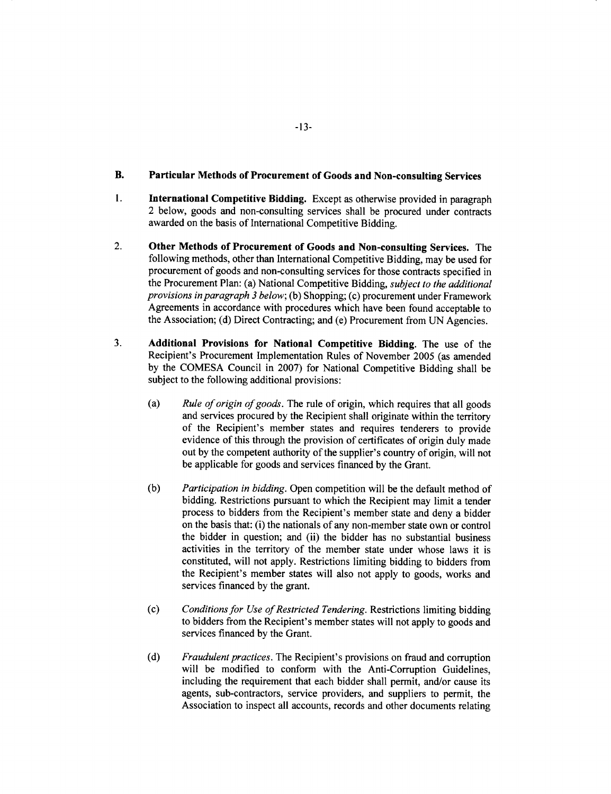## **B. Particular Methods of Procurement of Goods and Non-consulting Services**

- 1. **International Competitive Bidding.** Except as otherwise provided in paragraph 2 below, goods and non-consulting services shall be procured under contracts awarded on the basis of International Competitive Bidding.
- 2. **Other Methods of Procurement of Goods and Non-consulting Services. The** following methods, other than International Competitive Bidding, may be used for procurement of goods and non-consulting services for those contracts specified in the Procurement Plan: (a) National Competitive Bidding, *subject to the additional provisions in paragraph 3 below;* **(b)** Shopping; (c) procurement under Framework Agreements in accordance with procedures which have been found acceptable to the Association; **(d)** Direct Contracting; and (e) Procurement from **UN** Agencies.
- **3.** Additional Provisions for National Competitive Bidding. The use of the Recipient's Procurement Implementation Rules of November **2005** (as amended **by** the **COMESA** Council in **2007)** for National Competitive Bidding shall be subject to the following additional provisions:
	- (a) *Rule of origin of goods.* The rule of origin, which requires that all goods and services procured **by** the Recipient shall originate within the territory of the Recipient's member states and requires tenderers to provide evidence of this through the provision of certificates of origin duly made out **by** the competent authority of the supplier's country of origin, will not be applicable for goods and services financed **by** the Grant.
	- **(b)** *Participation in bidding.* Open competition will be the default method of bidding. Restrictions pursuant to which the Recipient may limit a tender process to bidders from the Recipient's member state and deny a bidder on the basis that: (i) the nationals of any non-member state own or control the bidder in question; and (ii) the bidder has no substantial business activities in the territory of the member state under whose laws it is constituted, will not apply. Restrictions limiting bidding to bidders from the Recipient's member states will also not apply to goods, works and services financed **by** the grant.
	- **(c)** *Conditions for Use of Restricted Tendering.* Restrictions limiting bidding to bidders from the Recipient's member states will not apply to goods and services financed **by** the Grant.
	- **(d)** *Fraudulent practices.* The Recipient's provisions on fraud and corruption will be modified to conform with the Anti-Corruption Guidelines, including the requirement that each bidder shall permit, and/or cause its agents, sub-contractors, service providers, and suppliers to permit, the Association to inspect all accounts, records and other documents relating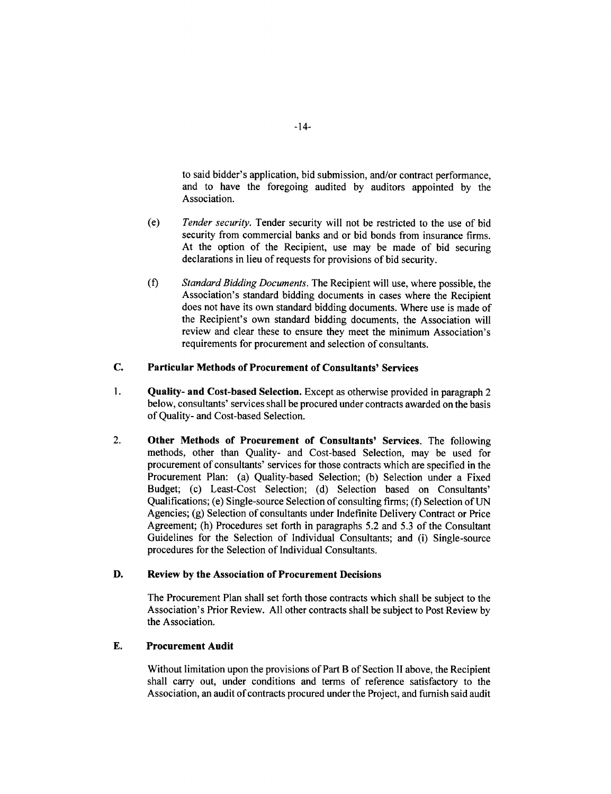to said bidder's application, bid submission, and/or contract performance, and to have the foregoing audited **by** auditors appointed **by** the Association.

- (e) *Tender security.* Tender security will not be restricted to the use of bid security from commercial banks and or bid bonds from insurance firms. At the option of the Recipient, use may be made of bid securing declarations in lieu of requests for provisions of bid security.
- **(f)** *Standard Bidding Documents.* The Recipient will use, where possible, the Association's standard bidding documents in cases where the Recipient does not have its own standard bidding documents. Where use is made of the Recipient's own standard bidding documents, the Association will review and clear these to ensure they meet the minimum Association's requirements for procurement and selection of consultants.

## **C. Particular Methods of Procurement of Consultants' Services**

- 1. **Quality- and Cost-based Selection. Except as** otherwise provided in paragraph 2 below, consultants' services shall be procured under contracts awarded on the basis of Quality- and Cost-based Selection.
- 2. **Other Methods of Procurement of Consultants'** Services. The following methods, other than Quality- and Cost-based Selection, may be used for procurement of consultants' services for those contracts which are specified in the Procurement Plan: (a) Quality-based Selection; **(b)** Selection under a Fixed Budget; (c) Least-Cost Selection; **(d)** Selection based on Consultants' Qualifications; (e) Single-source Selection of consulting firms; **(f)** Selection of **UN** Agencies; **(g)** Selection of consultants under Indefinite Delivery Contract or Price Agreement; (h) Procedures set forth in paragraphs *5.2* and *5.3* of the Consultant Guidelines for the Selection of Individual Consultants; and (i) Single-source procedures for the Selection of Individual Consultants.

## **D.** Review **by** the Association of Procurement Decisions

The Procurement Plan shall set forth those contracts which shall be subject to the Association's Prior Review. **All** other contracts shall be subject to Post Review **by** the Association.

## **E.** Procurement Audit

Without limitation upon the provisions of Part B of Section II above, the Recipient shall carry out, under conditions and terms of reference satisfactory to the Association, an audit of contracts procured under the Project, and furnish said audit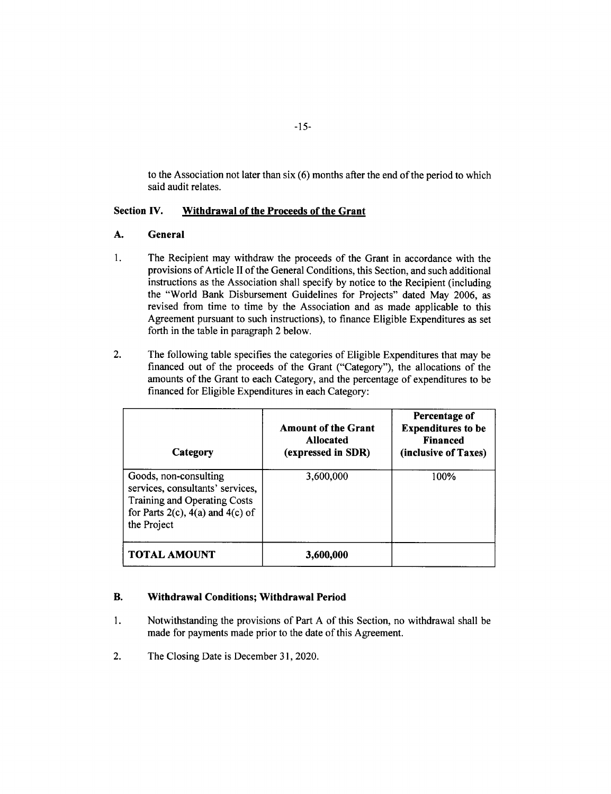to the Association not later than six **(6)** months after the end of the period to which said audit relates.

## **Section IV. Withdrawal of the Proceeds of the Grant**

## **A. General**

- 1. The Recipient may withdraw the proceeds of the Grant in accordance with the provisions of Article II of the General Conditions, this Section, and such additional instructions as the Association shall specify **by** notice to the Recipient (including the "World Bank Disbursement Guidelines for Projects" dated May **2006,** as revised from time to time **by** the Association and as made applicable to this Agreement pursuant to such instructions), to finance Eligible Expenditures as set forth in the table in paragraph 2 below.
- 2. The following table specifies the categories of Eligible Expenditures that may be financed out of the proceeds of the Grant ("Category"), the allocations of the amounts of the Grant to each Category, and the percentage of expenditures to be financed for Eligible Expenditures in each Category:

| Category                                                                                                                                            | <b>Amount of the Grant</b><br><b>Allocated</b><br>(expressed in SDR) | Percentage of<br><b>Expenditures to be</b><br><b>Financed</b><br>(inclusive of Taxes) |
|-----------------------------------------------------------------------------------------------------------------------------------------------------|----------------------------------------------------------------------|---------------------------------------------------------------------------------------|
| Goods, non-consulting<br>services, consultants' services,<br>Training and Operating Costs<br>for Parts $2(c)$ , $4(a)$ and $4(c)$ of<br>the Project | 3,600,000                                                            | 100%                                                                                  |
| <b>TOTAL AMOUNT</b>                                                                                                                                 | 3,600,000                                                            |                                                                                       |

## **B. Withdrawal Conditions; Withdrawal Period**

- 1 **.** Notwithstanding the provisions of **Part A of this Section, no withdrawal shall be** made for payments made prior to the date of this Agreement.
- 2. The Closing Date is December **31,** 2020.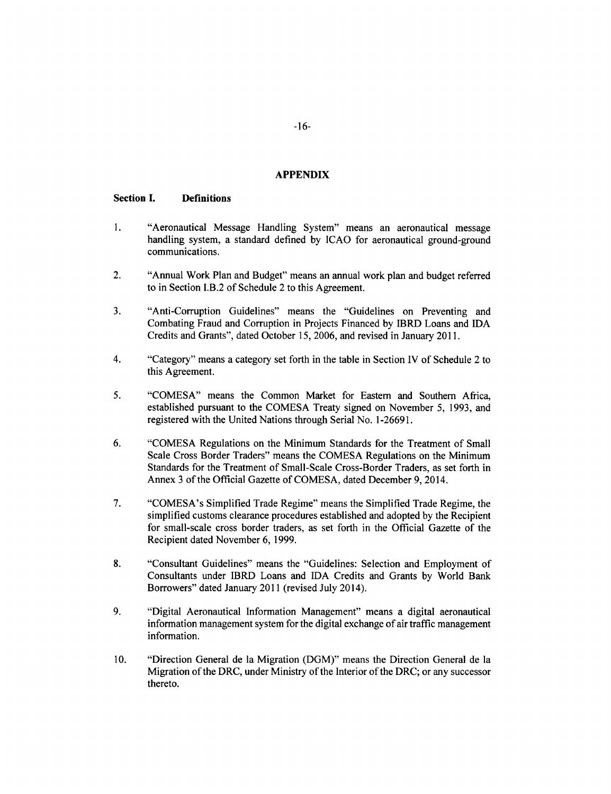#### **APPENDIX**

#### **Section I. Definitions**

- 1. "Aeronautical Message Handling System" means an aeronautical message handling system, a standard defined **by ICAO** for aeronautical ground-ground communications.
- 2. "Annual Work Plan and Budget" means an annual work plan and budget referred to in Section I.B.2 of Schedule 2 to this Agreement.
- **3.** "Anti-Corruption Guidelines" means the "Guidelines on Preventing and Combating Fraud and Corruption in Projects Financed **by** IBRD Loans and **IDA** Credits and Grants", dated October **15, 2006,** and revised in January **2011.**
- 4. "Category" means a category set forth in the table in Section IV of Schedule 2 to this Agreement.
- *5.* **"COMESA"** means the Common Market for Eastern and Southern Africa, established pursuant to the **COMESA** Treaty signed on November **5, 1993,** and registered with the United Nations through Serial No. **1-26691.**
- **6. "COMESA** Regulations on the Minimum Standards for the Treatment of Small Scale Cross Border Traders" means the **COMESA** Regulations on the Minimum Standards for the Treatment of Small-Scale Cross-Border Traders, as set forth in Annex **3** of the Official Gazette of **COMESA,** dated December **9,** 2014.
- **7.** "COMESA's Simplified Trade Regime" means the Simplified Trade Regime, the simplified customs clearance procedures established and adopted **by** the Recipient for small-scale cross border traders, as set forth in the Official Gazette of the Recipient dated November **6, 1999.**
- **8.** "Consultant Guidelines" means the "Guidelines: Selection and Employment of Consultants under IBRD Loans and **IDA** Credits and Grants **by** World Bank Borrowers" dated January 2011 (revised July 2014).
- **9.** "Digital Aeronautical Information Management" means a digital aeronautical information management system for the digital exchange of air traffic management information.
- **10.** "Direction General de la Migration **(DGM)"** means the Direction General de la Migration of the DRC, under Ministry of the Interior of the DRC; or any successor thereto.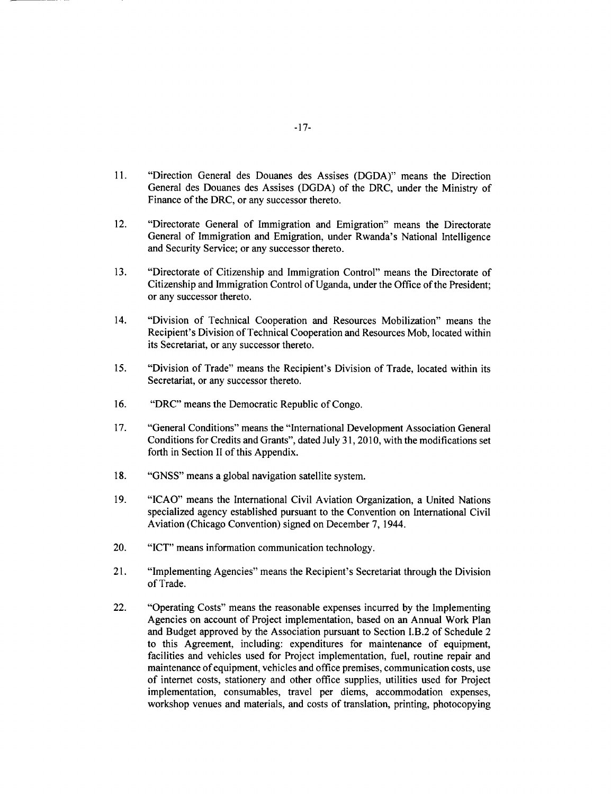- **11.** "Direction General des Douanes des Assises **(DGDA)"** means the Direction General des Douanes des Assises **(DGDA)** of the DRC, under the Ministry of Finance of the DRC, or any successor thereto.
- 12. "Directorate General of Immigration and Emigration" means the Directorate General of Immigration and Emigration, under Rwanda's National Intelligence and Security Service; or any successor thereto.
- **13.** "Directorate of Citizenship and Immigration Control" means the Directorate of Citizenship and Immigration Control of Uganda, under the Office of the President; or any successor thereto.
- 14. "Division of Technical Cooperation and Resources Mobilization" means the Recipient's Division of Technical Cooperation and Resources Mob, located within its Secretariat, or any successor thereto.
- *15.* "Division of Trade" means the Recipient's Division of Trade, located within its Secretariat, or any successor thereto.
- **16.** "DRC" means the Democratic Republic of Congo.
- **17.** "General Conditions" means the "International Development Association General Conditions for Credits and Grants", dated July **31, 2010,** with the modifications set forth in Section **11** of this Appendix.
- **18. "GNSS"** means a global navigation satellite system.
- **19. "ICAO"** means the International Civil Aviation Organization, a United Nations specialized agency established pursuant to the Convention on International Civil Aviation (Chicago Convention) signed on December **7,** 1944.
- 20. **"ICT"** means information communication technology.
- 21. "Implementing Agencies" means the Recipient's Secretariat through the Division of Trade.
- 22. "Operating Costs" means the reasonable expenses incurred **by** the Implementing Agencies on account of Project implementation, based on an Annual Work Plan and Budget approved **by** the Association pursuant to Section I.B.2 of Schedule 2 to this Agreement, including: expenditures for maintenance of equipment, facilities and vehicles used for Project implementation, fuel, routine repair and maintenance of equipment, vehicles and office premises, communication costs, use of internet costs, stationery and other office supplies, utilities used for Project implementation, consumables, travel per diems, accommodation expenses, workshop venues and materials, and costs of translation, printing, photocopying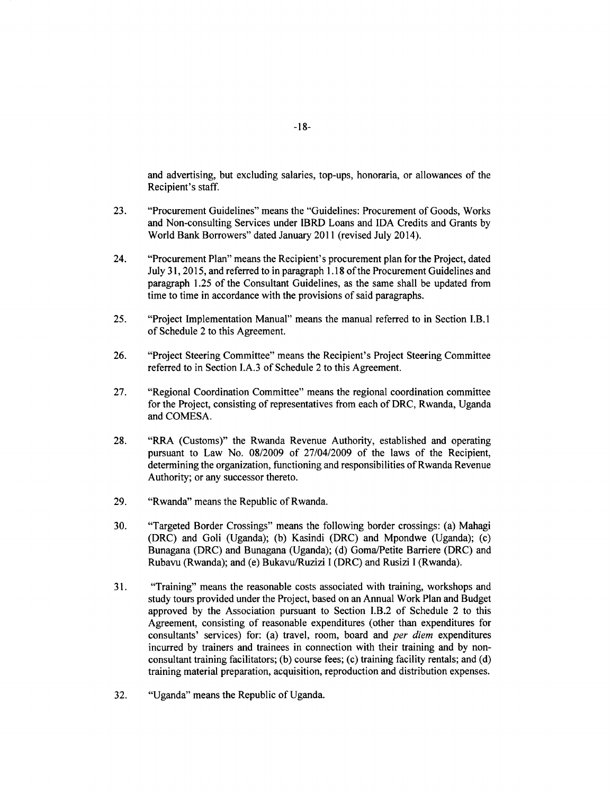and advertising, but excluding salaries, top-ups, honoraria, or allowances of the Recipient's staff.

- **23.** "Procurement Guidelines" means the "Guidelines: Procurement of Goods, Works and Non-consulting Services under IBRD Loans and **IDA** Credits and Grants **by** World Bank Borrowers" dated January 2011 (revised July 2014).
- 24. "Procurement Plan" means the Recipient's procurement plan for the Project, dated July **31, 2015,** and referred to in paragraph **1.18** of the Procurement Guidelines and paragraph **1.25** of the Consultant Guidelines, as the same shall be updated from time to time in accordance with the provisions of said paragraphs.
- *25.* "Project Implementation Manual" means the manual referred to in Section I.B.1 of Schedule 2 to this Agreement.
- **26.** "Project Steering Committee" means the Recipient's Project Steering Committee referred to in Section **I.A.3** of Schedule 2 to this Agreement.
- **27.** "Regional Coordination Committee" means the regional coordination committee for the Project, consisting of representatives from each of DRC, Rwanda, Uganda and **COMESA.**
- **28.** "RRA (Customs)" the Rwanda Revenue Authority, established and operating pursuant to Law No. **08/2009** of 27/04/2009 of the laws of the Recipient, determining the organization, functioning and responsibilities of Rwanda Revenue Authority; or any successor thereto.
- **29.** "Rwanda" means the Republic of Rwanda.
- **30.** "Targeted Border Crossings" means the following border crossings: (a) Mahagi (DRC) and Goli (Uganda); **(b)** Kasindi (DRC) and Mpondwe (Uganda); (c) Bunagana (DRC) and Bunagana (Uganda); **(d)** Goma/Petite Barriere (DRC) and Rubavu (Rwanda); and (e) Bukavu/Ruzizi **I** (DRC) and Rusizi **I** (Rwanda).
- **31.** "Training" means the reasonable costs associated with training, workshops and study tours provided under the Project, based on an Annual Work Plan and Budget approved **by** the Association pursuant to Section I.B.2 of Schedule 2 to this Agreement, consisting of reasonable expenditures (other than expenditures for consultants' services) for: (a) travel, room, board and *per diem* expenditures incurred **by** trainers and trainees in connection with their training and **by** nonconsultant training facilitators; **(b)** course fees; (c) training facility rentals; and **(d)** training material preparation, acquisition, reproduction and distribution expenses.
- **32.** "Uganda" means the Republic of Uganda.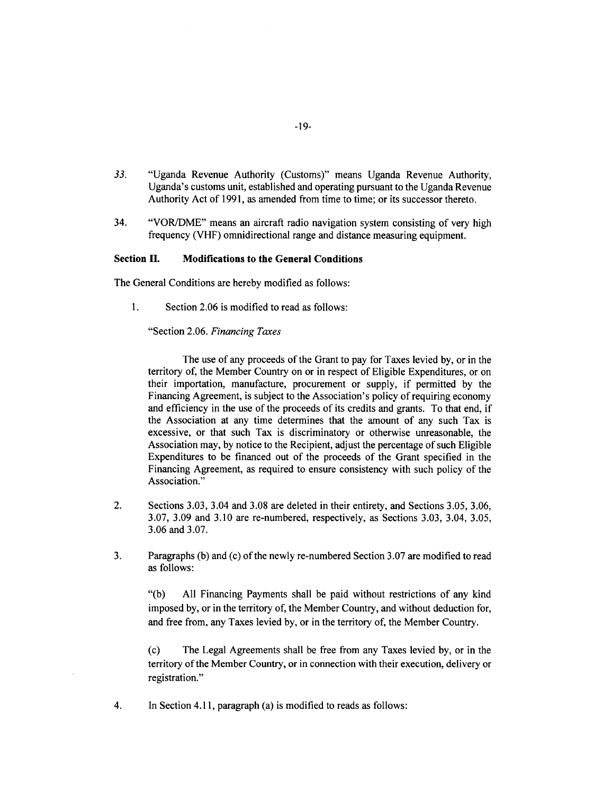- *33.* "Uganda Revenue Authority (Customs)" means Uganda Revenue Authority, Uganda's customs unit, established and operating pursuant to the Uganda Revenue Authority Act of **1991,** as amended from time to time; or its successor thereto.
- 34. "VOR/DME" means an aircraft radio navigation system consisting of very high frequency (VHF) omnidirectional range and distance measuring equipment.

## Section **II.** Modifications to the General Conditions

The General Conditions are hereby modified as follows:

1. Section 2.06 is modified to read as follows:

"Section **2.06.** *Financing Taxes*

The use of any proceeds of the Grant to pay for Taxes levied **by,** or in the territory of, the Member Country on or in respect of Eligible Expenditures, or on their importation, manufacture, procurement or supply, if permitted **by** the Financing Agreement, is subject to the Association's policy of requiring economy and efficiency in the use of the proceeds of its credits and grants. To that end, if the Association at any time determines that the amount of any such Tax is excessive, or that such Tax is discriminatory or otherwise unreasonable, the Association may, **by** notice to the Recipient, adjust the percentage of such Eligible Expenditures to be financed out of the proceeds of the Grant specified in the Financing Agreement, as required to ensure consistency with such policy of the Association."

- 2. Sections **3.03,** 3.04 and **3.08** are deleted in their entirety, and Sections *3.05,* **3.06, 3.07, 3.09** and **3.10** are re-numbered, respectively, as Sections **3.03,** 3.04, *3.05,* **3.06** and **3.07.**
- **3.** Paragraphs **(b)** and (c) of the newly re-numbered Section **3.07** are modified to read as follows:

**"(b) All** Financing Payments shall be paid without restrictions of any kind imposed **by,** or in the territory of, the Member Country, and without deduction for, and free from, any Taxes levied **by,** or in the territory of, the Member Country.

(c) The Legal Agreements shall be free from any Taxes levied **by,** or in the territory of the Member Country, or in connection with their execution, delivery or registration."

4. In Section **4.11,** paragraph (a) is modified to reads as follows: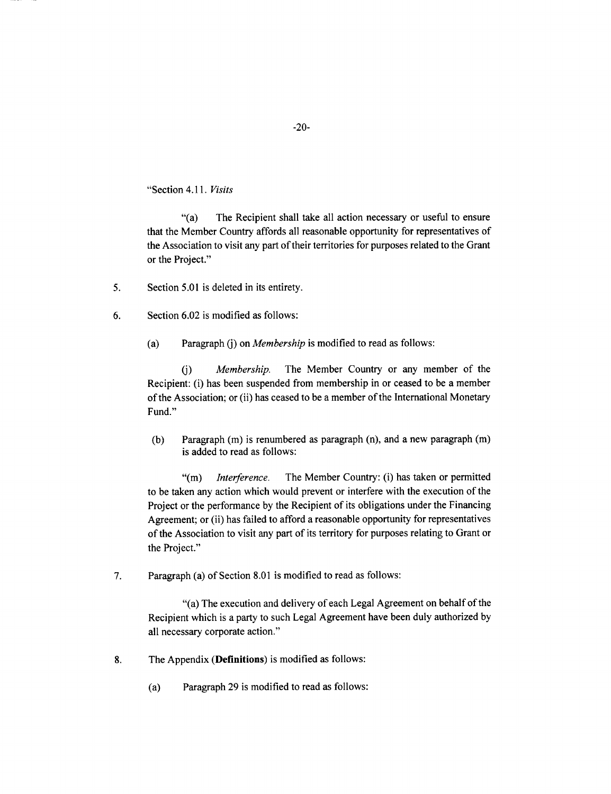"Section *4.11. Visits*

"(a) The Recipient shall take all action necessary or useful to ensure that the Member Country affords all reasonable opportunity for representatives of the Association to visit any part of their territories for purposes related to the Grant or the Project."

- *5.* Section **5.01** is deleted in its entirety.
- **6.** Section **6.02** is modified as follows:
	- (a) Paragraph **(j)** *on Membership* is modified to read as follows:

**(j)** *Membership.* The Member Country or any member of the Recipient: (i) has been suspended from membership in or ceased to be a member of the Association; or (ii) has ceased to be a member of the International Monetary Fund."

**(b)** Paragraph **(in)** is renumbered as paragraph (n), and a new paragraph **(in)** is added to read as follows:

**"(in)** *Interference.* The Member Country: (i) has taken or permitted to be taken any action which would prevent or interfere with the execution of the Project or the performance **by** the Recipient of its obligations under the Financing Agreement; or (ii) has failed to afford a reasonable opportunity for representatives of the Association to visit any part of its territory for purposes relating to Grant or the Project."

**7.** Paragraph (a) of Section **8.01** is modified to read as follows:

"(a) The execution and delivery of each Legal Agreement on behalf of the Recipient which is a party to such Legal Agreement have been duly authorized **by** all necessary corporate action."

- **8.** The Appendix **(Definitions)** is modified as follows:
	- (a) Paragraph **29** is modified to read as follows: